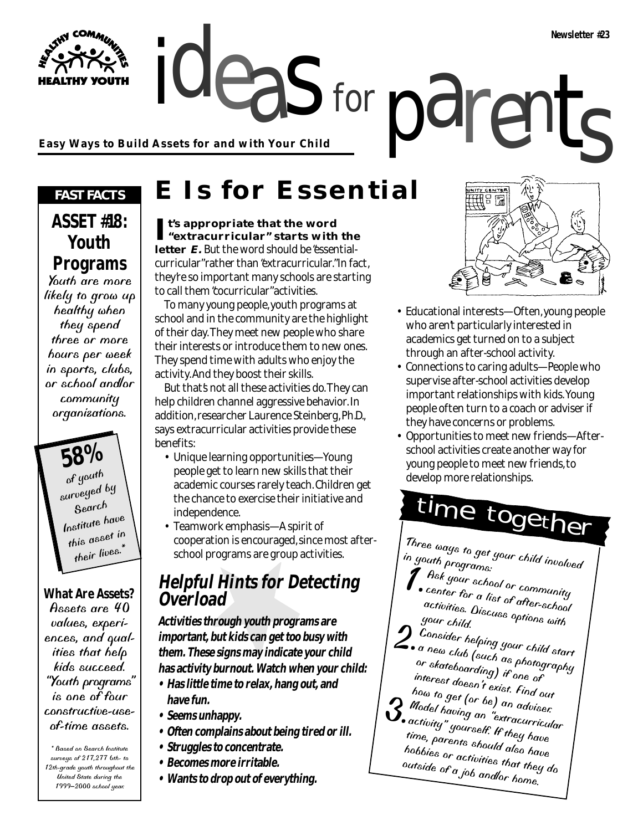**Easy Ways to Build Assets for and with Your Child**

### *FAST FACTS*

**YOUTH** 

## **ASSET #18: Youth Programs**

Youth are more likely to grow up healthy when they spend three or more hours per week in sports, clubs, or school and/or community organizations.

> **58%** of youth surveyed by Search Institute have this asset in their lives.

### **What Are Assets?**

Assets are 40 values, experiences, and qualities that help kids succeed. "Youth programs" is one of four constructive-useof-time assets.

\* Based on Search Institute surveys of 217,277 6th- to 12th-grade youth throughout the United State during the 1999–2000 school year.

## **E Is for Essential**

for

**It's appropriate that the word "extracurricular" starts with the letter E.** But the word should be "essentialcurricular" rather than "extracurricular." In fact, they're so important many schools are starting to call them "cocurricular" activities.

To many young people, youth programs at school and in the community are the highlight of their day. They meet new people who share their interests or introduce them to new ones. They spend time with adults who enjoy the activity. And they boost their skills.

But that's not all these activities do. They can help children channel aggressive behavior. In addition, researcher Laurence Steinberg, Ph.D., says extracurricular activities provide these benefits:

- Unique learning opportunities—Young people get to learn new skills that their academic courses rarely teach. Children get the chance to exercise their initiative and independence.
- Teamwork emphasis—A spirit of cooperation is encouraged, since most afterschool programs are group activities.

## **Helpful Hints for Detecting Overload**

**Activities through youth programs are important, but kids can get too busy with them. These signs may indicate your child has activity burnout. Watch when your child:**

- **Has little time to relax, hang out, and have fun.**
- **Seems unhappy.**
- **Often complains about being tired or ill.**
- **Struggles to concentrate.**
- **Becomes more irritable.**
- **Wants to drop out of everything.**



- Educational interests—Often, young people who aren't particularly interested in academics get turned on to a subject through an after-school activity.
- Connections to caring adults—People who supervise after-school activities develop important relationships with kids. Young people often turn to a coach or adviser if they have concerns or problems.
- Opportunities to meet new friends—Afterschool activities create another way for young people to meet new friends, to develop more relationships.

# time together

Three ways to get your child involved in youth programs:

- 1.Ask your school or community <sup>center</sup> for a list of <sup>community</sup><br><sup>activities.</sup> Nies activities. Discuss options with an activities of the contract of the action of the action of the action of th<br>your child.
- 2. Consider helping your child start a new club (such as photography)<br>or skateboarding) if one of<br>interest dentity one of or skateboarding) if one of<br>interest doesn't exist. Find out
- how to get (or be) an adviser.
- 3. Model having an "extracurricular"<br>activity" yourself. If they have time, parents should also have hobbies or activities that they do outside of a job and/or home.